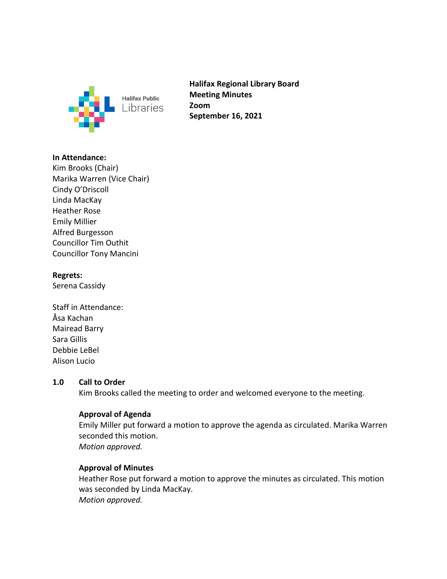

**Halifax Regional Library Board Meeting Minutes Zoom September 16, 2021**

### **In Attendance:**

Kim Brooks (Chair) Marika Warren (Vice Chair) Cindy O'Driscoll Linda MacKay Heather Rose Emily Millier Alfred Burgesson Councillor Tim Outhit Councillor Tony Mancini

#### **Regrets:**

Serena Cassidy

Staff in Attendance: Åsa Kachan Mairead Barry Sara Gillis Debbie LeBel Alison Lucio

#### **1.0 Call to Order**

Kim Brooks called the meeting to order and welcomed everyone to the meeting.

# **Approval of Agenda**

Emily Miller put forward a motion to approve the agenda as circulated. Marika Warren seconded this motion. *Motion approved.*

#### **Approval of Minutes**

Heather Rose put forward a motion to approve the minutes as circulated. This motion was seconded by Linda MacKay. *Motion approved.*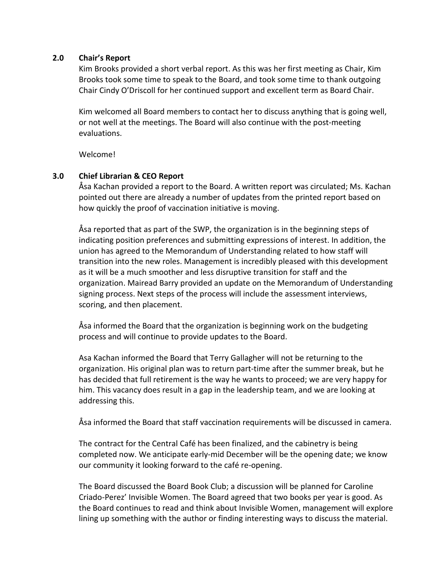#### **2.0 Chair's Report**

Kim Brooks provided a short verbal report. As this was her first meeting as Chair, Kim Brooks took some time to speak to the Board, and took some time to thank outgoing Chair Cindy O'Driscoll for her continued support and excellent term as Board Chair.

Kim welcomed all Board members to contact her to discuss anything that is going well, or not well at the meetings. The Board will also continue with the post-meeting evaluations.

Welcome!

#### **3.0 Chief Librarian & CEO Report**

Åsa Kachan provided a report to the Board. A written report was circulated; Ms. Kachan pointed out there are already a number of updates from the printed report based on how quickly the proof of vaccination initiative is moving.

Åsa reported that as part of the SWP, the organization is in the beginning steps of indicating position preferences and submitting expressions of interest. In addition, the union has agreed to the Memorandum of Understanding related to how staff will transition into the new roles. Management is incredibly pleased with this development as it will be a much smoother and less disruptive transition for staff and the organization. Mairead Barry provided an update on the Memorandum of Understanding signing process. Next steps of the process will include the assessment interviews, scoring, and then placement.

Åsa informed the Board that the organization is beginning work on the budgeting process and will continue to provide updates to the Board.

Asa Kachan informed the Board that Terry Gallagher will not be returning to the organization. His original plan was to return part-time after the summer break, but he has decided that full retirement is the way he wants to proceed; we are very happy for him. This vacancy does result in a gap in the leadership team, and we are looking at addressing this.

Åsa informed the Board that staff vaccination requirements will be discussed in camera.

The contract for the Central Café has been finalized, and the cabinetry is being completed now. We anticipate early-mid December will be the opening date; we know our community it looking forward to the café re-opening.

The Board discussed the Board Book Club; a discussion will be planned for Caroline Criado-Perez' Invisible Women. The Board agreed that two books per year is good. As the Board continues to read and think about Invisible Women, management will explore lining up something with the author or finding interesting ways to discuss the material.